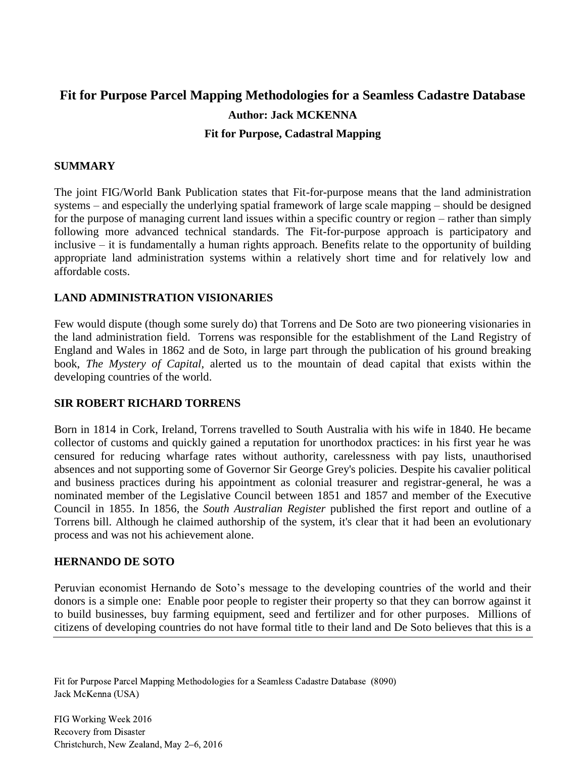# **Fit for Purpose Parcel Mapping Methodologies for a Seamless Cadastre Database Author: Jack MCKENNA Fit for Purpose, Cadastral Mapping**

#### **SUMMARY**

The joint FIG/World Bank Publication states that Fit-for-purpose means that the land administration systems – and especially the underlying spatial framework of large scale mapping – should be designed for the purpose of managing current land issues within a specific country or region – rather than simply following more advanced technical standards. The Fit-for-purpose approach is participatory and inclusive – it is fundamentally a human rights approach. Benefits relate to the opportunity of building appropriate land administration systems within a relatively short time and for relatively low and affordable costs.

#### **LAND ADMINISTRATION VISIONARIES**

Few would dispute (though some surely do) that Torrens and De Soto are two pioneering visionaries in the land administration field. Torrens was responsible for the establishment of the Land Registry of England and Wales in 1862 and de Soto, in large part through the publication of his ground breaking book, *The Mystery of Capital*, alerted us to the mountain of dead capital that exists within the developing countries of the world.

#### **SIR ROBERT RICHARD TORRENS**

Born in 1814 in Cork, Ireland, Torrens travelled to South Australia with his wife in 1840. He became collector of customs and quickly gained a reputation for unorthodox practices: in his first year he was censured for reducing wharfage rates without authority, carelessness with pay lists, unauthorised absences and not supporting some of Governor Sir George Grey's policies. Despite his cavalier political and business practices during his appointment as colonial treasurer and registrar-general, he was a nominated member of the Legislative Council between 1851 and 1857 and member of the Executive Council in 1855. In 1856, the *South Australian Register* published the first report and outline of a Torrens bill. Although he claimed authorship of the system, it's clear that it had been an evolutionary process and was not his achievement alone.

#### **HERNANDO DE SOTO**

Peruvian economist Hernando de Soto's message to the developing countries of the world and their donors is a simple one: Enable poor people to register their property so that they can borrow against it to build businesses, buy farming equipment, seed and fertilizer and for other purposes. Millions of citizens of developing countries do not have formal title to their land and De Soto believes that this is a

Fit for Purpose Parcel Mapping Methodologies for a Seamless Cadastre Database (8090) Jack McKenna (USA)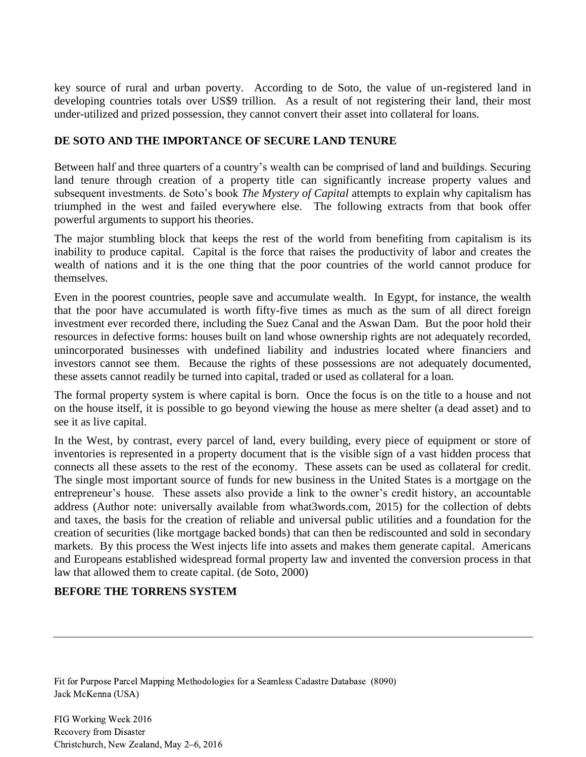key source of rural and urban poverty. According to de Soto, the value of un-registered land in developing countries totals over US\$9 trillion. As a result of not registering their land, their most under-utilized and prized possession, they cannot convert their asset into collateral for loans.

#### **DE SOTO AND THE IMPORTANCE OF SECURE LAND TENURE**

Between half and three quarters of a country's wealth can be comprised of land and buildings. Securing land tenure through creation of a property title can significantly increase property values and subsequent investments. de Soto's book *The Mystery of Capital* attempts to explain why capitalism has triumphed in the west and failed everywhere else. The following extracts from that book offer powerful arguments to support his theories.

The major stumbling block that keeps the rest of the world from benefiting from capitalism is its inability to produce capital. Capital is the force that raises the productivity of labor and creates the wealth of nations and it is the one thing that the poor countries of the world cannot produce for themselves.

Even in the poorest countries, people save and accumulate wealth. In Egypt, for instance, the wealth that the poor have accumulated is worth fifty-five times as much as the sum of all direct foreign investment ever recorded there, including the Suez Canal and the Aswan Dam. But the poor hold their resources in defective forms: houses built on land whose ownership rights are not adequately recorded, unincorporated businesses with undefined liability and industries located where financiers and investors cannot see them. Because the rights of these possessions are not adequately documented, these assets cannot readily be turned into capital, traded or used as collateral for a loan.

The formal property system is where capital is born. Once the focus is on the title to a house and not on the house itself, it is possible to go beyond viewing the house as mere shelter (a dead asset) and to see it as live capital.

In the West, by contrast, every parcel of land, every building, every piece of equipment or store of inventories is represented in a property document that is the visible sign of a vast hidden process that connects all these assets to the rest of the economy. These assets can be used as collateral for credit. The single most important source of funds for new business in the United States is a mortgage on the entrepreneur's house. These assets also provide a link to the owner's credit history, an accountable address (Author note: universally available from what3words.com, 2015) for the collection of debts and taxes, the basis for the creation of reliable and universal public utilities and a foundation for the creation of securities (like mortgage backed bonds) that can then be rediscounted and sold in secondary markets. By this process the West injects life into assets and makes them generate capital. Americans and Europeans established widespread formal property law and invented the conversion process in that law that allowed them to create capital. (de Soto, 2000)

## **BEFORE THE TORRENS SYSTEM**

Fit for Purpose Parcel Mapping Methodologies for a Seamless Cadastre Database (8090) Jack McKenna (USA)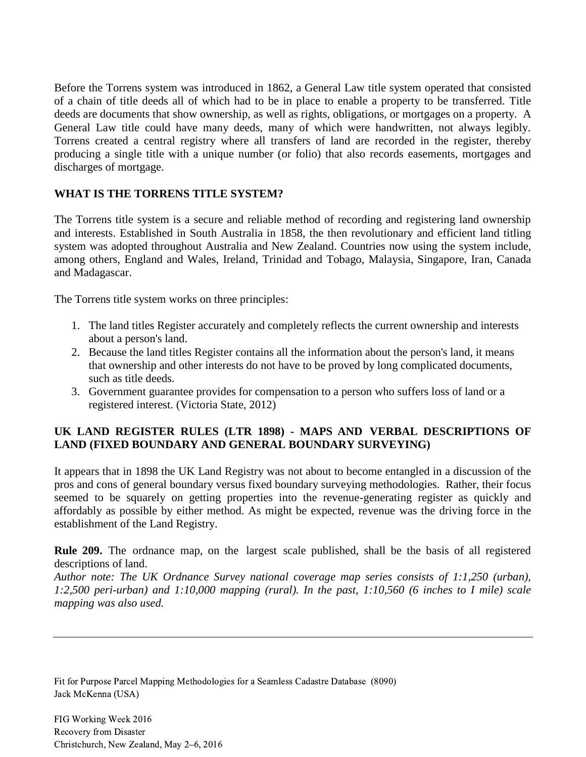Before the Torrens system was introduced in 1862, a General Law title system operated that consisted of a chain of title deeds all of which had to be in place to enable a property to be transferred. Title deeds are documents that show ownership, as well as rights, obligations, or mortgages on a property. A General Law title could have many deeds, many of which were handwritten, not always legibly. Torrens created a central registry where all transfers of land are recorded in the register, thereby producing a single title with a unique number (or folio) that also records easements, mortgages and discharges of mortgage.

### **WHAT IS THE TORRENS TITLE SYSTEM?**

The Torrens title system is a secure and reliable method of recording and registering land ownership and interests. Established in South Australia in 1858, the then revolutionary and efficient land titling system was adopted throughout Australia and New Zealand. Countries now using the system include, among others, England and Wales, Ireland, Trinidad and Tobago, Malaysia, Singapore, Iran, Canada and Madagascar.

The Torrens title system works on three principles:

- 1. The land titles Register accurately and completely reflects the current ownership and interests about a person's land.
- 2. Because the land titles Register contains all the information about the person's land, it means that ownership and other interests do not have to be proved by long complicated documents, such as title deeds.
- 3. Government guarantee provides for compensation to a person who suffers loss of land or a registered interest. (Victoria State, 2012)

## **UK LAND REGISTER RULES (LTR 1898) - MAPS AND VERBAL DESCRIPTIONS OF LAND (FIXED BOUNDARY AND GENERAL BOUNDARY SURVEYING)**

It appears that in 1898 the UK Land Registry was not about to become entangled in a discussion of the pros and cons of general boundary versus fixed boundary surveying methodologies. Rather, their focus seemed to be squarely on getting properties into the revenue-generating register as quickly and affordably as possible by either method. As might be expected, revenue was the driving force in the establishment of the Land Registry.

**Rule 209.** The ordnance map, on the largest scale published, shall be the basis of all registered descriptions of land.

*Author note: The UK Ordnance Survey national coverage map series consists of 1:1,250 (urban), 1:2,500 peri-urban) and 1:10,000 mapping (rural). In the past, 1:10,560 (6 inches to I mile) scale mapping was also used.*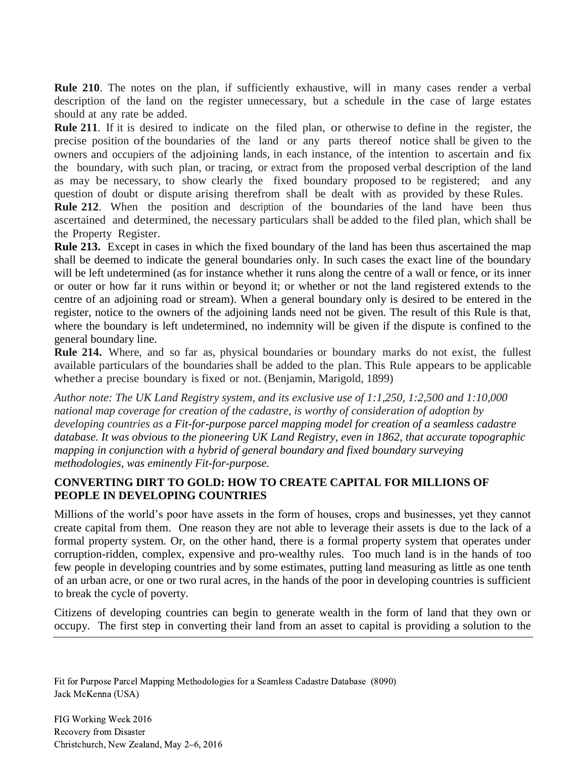**Rule 210**. The notes on the plan, if sufficiently exhaustive, will in many cases render a verbal description of the land on the register unnecessary, but a schedule in the case of large estates should at any rate be added.

**Rule 211**. If it is desired to indicate on the filed plan, or otherwise to define in the register, the precise position of the boundaries of the land or any parts thereof notice shall be given to the owners and occupiers of the adjoining lands, in each instance, of the intention to ascertain and fix the boundary, with such plan, or tracing, or extract from the proposed verbal description of the land as may be necessary, to show clearly the fixed boundary proposed to be registered; and any question of doubt or dispute arising therefrom shall be dealt with as provided by these Rules.

**Rule 212**. When the position and description of the boundaries of the land have been thus ascertained and determined, the necessary particulars shall be added to the filed plan, which shall be the Property Register.

**Rule 213.** Except in cases in which the fixed boundary of the land has been thus ascertained the map shall be deemed to indicate the general boundaries only. In such cases the exact line of the boundary will be left undetermined (as for instance whether it runs along the centre of a wall or fence, or its inner or outer or how far it runs within or beyond it; or whether or not the land registered extends to the centre of an adjoining road or stream). When a general boundary only is desired to be entered in the register, notice to the owners of the adjoining lands need not be given. The result of this Rule is that, where the boundary is left undetermined, no indemnity will be given if the dispute is confined to the general boundary line.

**Rule 214.** Where, and so far as, physical boundaries or boundary marks do not exist, the fullest available particulars of the boundaries shall be· added to the plan. This Rule appears to be applicable whether a precise boundary is fixed or not. (Benjamin, Marigold, 1899)

*Author note: The UK Land Registry system, and its exclusive use of 1:1,250, 1:2,500 and 1:10,000 national map coverage for creation of the cadastre, is worthy of consideration of adoption by developing countries as a Fit-for-purpose parcel mapping model for creation of a seamless cadastre database. It was obvious to the pioneering UK Land Registry, even in 1862, that accurate topographic mapping in conjunction with a hybrid of general boundary and fixed boundary surveying methodologies, was eminently Fit-for-purpose.*

## **CONVERTING DIRT TO GOLD: HOW TO CREATE CAPITAL FOR MILLIONS OF PEOPLE IN DEVELOPING COUNTRIES**

Millions of the world's poor have assets in the form of houses, crops and businesses, yet they cannot create capital from them. One reason they are not able to leverage their assets is due to the lack of a formal property system. Or, on the other hand, there is a formal property system that operates under corruption-ridden, complex, expensive and pro-wealthy rules. Too much land is in the hands of too few people in developing countries and by some estimates, putting land measuring as little as one tenth of an urban acre, or one or two rural acres, in the hands of the poor in developing countries is sufficient to break the cycle of poverty.

Citizens of developing countries can begin to generate wealth in the form of land that they own or occupy. The first step in converting their land from an asset to capital is providing a solution to the

Fit for Purpose Parcel Mapping Methodologies for a Seamless Cadastre Database (8090) Jack McKenna (USA)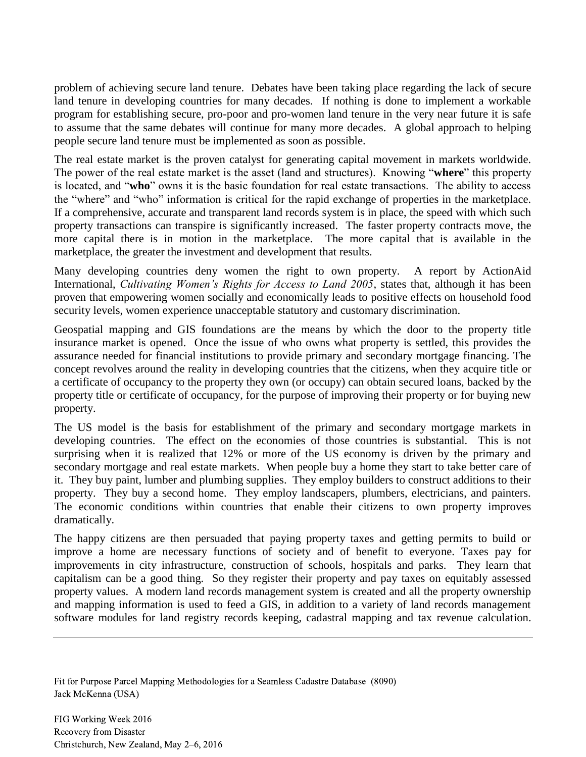problem of achieving secure land tenure. Debates have been taking place regarding the lack of secure land tenure in developing countries for many decades. If nothing is done to implement a workable program for establishing secure, pro-poor and pro-women land tenure in the very near future it is safe to assume that the same debates will continue for many more decades. A global approach to helping people secure land tenure must be implemented as soon as possible.

The real estate market is the proven catalyst for generating capital movement in markets worldwide. The power of the real estate market is the asset (land and structures). Knowing "**where**" this property is located, and "**who**" owns it is the basic foundation for real estate transactions. The ability to access the "where" and "who" information is critical for the rapid exchange of properties in the marketplace. If a comprehensive, accurate and transparent land records system is in place, the speed with which such property transactions can transpire is significantly increased. The faster property contracts move, the more capital there is in motion in the marketplace. The more capital that is available in the marketplace, the greater the investment and development that results.

Many developing countries deny women the right to own property. A report by ActionAid International, *Cultivating Women's Rights for Access to Land 2005*, states that, although it has been proven that empowering women socially and economically leads to positive effects on household food security levels, women experience unacceptable statutory and customary discrimination.

Geospatial mapping and GIS foundations are the means by which the door to the property title insurance market is opened. Once the issue of who owns what property is settled, this provides the assurance needed for financial institutions to provide primary and secondary mortgage financing. The concept revolves around the reality in developing countries that the citizens, when they acquire title or a certificate of occupancy to the property they own (or occupy) can obtain secured loans, backed by the property title or certificate of occupancy, for the purpose of improving their property or for buying new property.

The US model is the basis for establishment of the primary and secondary mortgage markets in developing countries. The effect on the economies of those countries is substantial. This is not surprising when it is realized that 12% or more of the US economy is driven by the primary and secondary mortgage and real estate markets. When people buy a home they start to take better care of it. They buy paint, lumber and plumbing supplies. They employ builders to construct additions to their property. They buy a second home. They employ landscapers, plumbers, electricians, and painters. The economic conditions within countries that enable their citizens to own property improves dramatically.

The happy citizens are then persuaded that paying property taxes and getting permits to build or improve a home are necessary functions of society and of benefit to everyone. Taxes pay for improvements in city infrastructure, construction of schools, hospitals and parks. They learn that capitalism can be a good thing. So they register their property and pay taxes on equitably assessed property values. A modern land records management system is created and all the property ownership and mapping information is used to feed a GIS, in addition to a variety of land records management software modules for land registry records keeping, cadastral mapping and tax revenue calculation.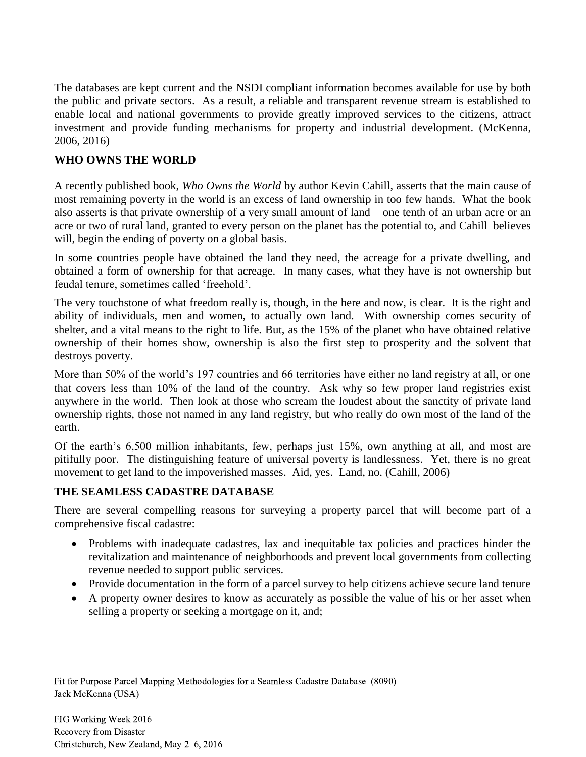The databases are kept current and the NSDI compliant information becomes available for use by both the public and private sectors. As a result, a reliable and transparent revenue stream is established to enable local and national governments to provide greatly improved services to the citizens, attract investment and provide funding mechanisms for property and industrial development. (McKenna, 2006, 2016)

### **WHO OWNS THE WORLD**

A recently published book, *Who Owns the World* by author Kevin Cahill, asserts that the main cause of most remaining poverty in the world is an excess of land ownership in too few hands. What the book also asserts is that private ownership of a very small amount of land – one tenth of an urban acre or an acre or two of rural land, granted to every person on the planet has the potential to, and Cahill believes will, begin the ending of poverty on a global basis.

In some countries people have obtained the land they need, the acreage for a private dwelling, and obtained a form of ownership for that acreage. In many cases, what they have is not ownership but feudal tenure, sometimes called 'freehold'.

The very touchstone of what freedom really is, though, in the here and now, is clear. It is the right and ability of individuals, men and women, to actually own land. With ownership comes security of shelter, and a vital means to the right to life. But, as the 15% of the planet who have obtained relative ownership of their homes show, ownership is also the first step to prosperity and the solvent that destroys poverty.

More than 50% of the world's 197 countries and 66 territories have either no land registry at all, or one that covers less than 10% of the land of the country. Ask why so few proper land registries exist anywhere in the world. Then look at those who scream the loudest about the sanctity of private land ownership rights, those not named in any land registry, but who really do own most of the land of the earth.

Of the earth's 6,500 million inhabitants, few, perhaps just 15%, own anything at all, and most are pitifully poor. The distinguishing feature of universal poverty is landlessness. Yet, there is no great movement to get land to the impoverished masses. Aid, yes. Land, no. (Cahill, 2006)

## **THE SEAMLESS CADASTRE DATABASE**

There are several compelling reasons for surveying a property parcel that will become part of a comprehensive fiscal cadastre:

- Problems with inadequate cadastres, lax and inequitable tax policies and practices hinder the revitalization and maintenance of neighborhoods and prevent local governments from collecting revenue needed to support public services.
- Provide documentation in the form of a parcel survey to help citizens achieve secure land tenure
- A property owner desires to know as accurately as possible the value of his or her asset when selling a property or seeking a mortgage on it, and;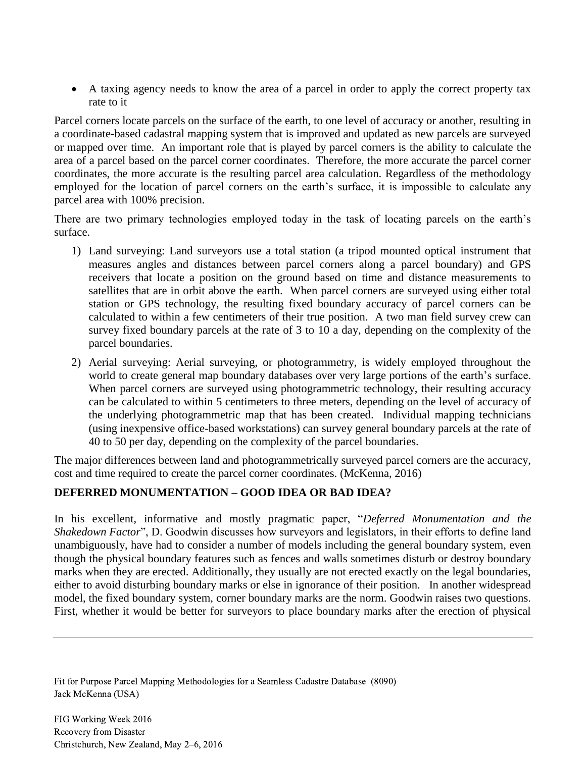A taxing agency needs to know the area of a parcel in order to apply the correct property tax rate to it

Parcel corners locate parcels on the surface of the earth, to one level of accuracy or another, resulting in a coordinate-based cadastral mapping system that is improved and updated as new parcels are surveyed or mapped over time. An important role that is played by parcel corners is the ability to calculate the area of a parcel based on the parcel corner coordinates. Therefore, the more accurate the parcel corner coordinates, the more accurate is the resulting parcel area calculation. Regardless of the methodology employed for the location of parcel corners on the earth's surface, it is impossible to calculate any parcel area with 100% precision.

There are two primary technologies employed today in the task of locating parcels on the earth's surface.

- 1) Land surveying: Land surveyors use a total station (a tripod mounted optical instrument that measures angles and distances between parcel corners along a parcel boundary) and GPS receivers that locate a position on the ground based on time and distance measurements to satellites that are in orbit above the earth. When parcel corners are surveyed using either total station or GPS technology, the resulting fixed boundary accuracy of parcel corners can be calculated to within a few centimeters of their true position. A two man field survey crew can survey fixed boundary parcels at the rate of 3 to 10 a day, depending on the complexity of the parcel boundaries.
- 2) Aerial surveying: Aerial surveying, or photogrammetry, is widely employed throughout the world to create general map boundary databases over very large portions of the earth's surface. When parcel corners are surveyed using photogrammetric technology, their resulting accuracy can be calculated to within 5 centimeters to three meters, depending on the level of accuracy of the underlying photogrammetric map that has been created. Individual mapping technicians (using inexpensive office-based workstations) can survey general boundary parcels at the rate of 40 to 50 per day, depending on the complexity of the parcel boundaries.

The major differences between land and photogrammetrically surveyed parcel corners are the accuracy, cost and time required to create the parcel corner coordinates. (McKenna, 2016)

## **DEFERRED MONUMENTATION – GOOD IDEA OR BAD IDEA?**

In his excellent, informative and mostly pragmatic paper, "*Deferred Monumentation and the Shakedown Factor*", D. Goodwin discusses how surveyors and legislators, in their efforts to define land unambiguously, have had to consider a number of models including the general boundary system, even though the physical boundary features such as fences and walls sometimes disturb or destroy boundary marks when they are erected. Additionally, they usually are not erected exactly on the legal boundaries, either to avoid disturbing boundary marks or else in ignorance of their position. In another widespread model, the fixed boundary system, corner boundary marks are the norm. Goodwin raises two questions. First, whether it would be better for surveyors to place boundary marks after the erection of physical

Fit for Purpose Parcel Mapping Methodologies for a Seamless Cadastre Database (8090) Jack McKenna (USA)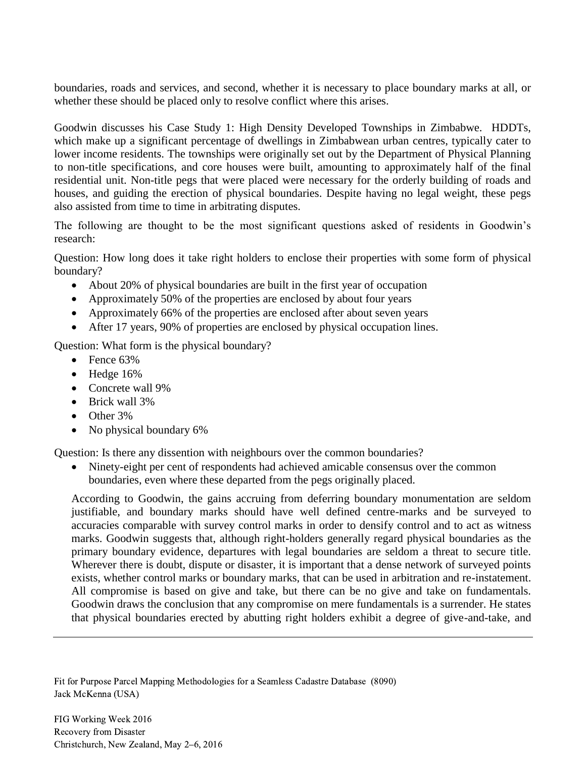boundaries, roads and services, and second, whether it is necessary to place boundary marks at all, or whether these should be placed only to resolve conflict where this arises.

Goodwin discusses his Case Study 1: High Density Developed Townships in Zimbabwe. HDDTs, which make up a significant percentage of dwellings in Zimbabwean urban centres, typically cater to lower income residents. The townships were originally set out by the Department of Physical Planning to non-title specifications, and core houses were built, amounting to approximately half of the final residential unit. Non-title pegs that were placed were necessary for the orderly building of roads and houses, and guiding the erection of physical boundaries. Despite having no legal weight, these pegs also assisted from time to time in arbitrating disputes.

The following are thought to be the most significant questions asked of residents in Goodwin's research:

Question: How long does it take right holders to enclose their properties with some form of physical boundary?

- About 20% of physical boundaries are built in the first year of occupation
- Approximately 50% of the properties are enclosed by about four years
- Approximately 66% of the properties are enclosed after about seven years
- After 17 years, 90% of properties are enclosed by physical occupation lines.

Question: What form is the physical boundary?

- $\bullet$  Fence 63%
- $\bullet$  Hedge 16%
- Concrete wall 9%
- Brick wall 3%
- Other 3%
- No physical boundary 6%

Question: Is there any dissention with neighbours over the common boundaries?

• Ninety-eight per cent of respondents had achieved amicable consensus over the common boundaries, even where these departed from the pegs originally placed.

According to Goodwin, the gains accruing from deferring boundary monumentation are seldom justifiable, and boundary marks should have well defined centre-marks and be surveyed to accuracies comparable with survey control marks in order to densify control and to act as witness marks. Goodwin suggests that, although right-holders generally regard physical boundaries as the primary boundary evidence, departures with legal boundaries are seldom a threat to secure title. Wherever there is doubt, dispute or disaster, it is important that a dense network of surveyed points exists, whether control marks or boundary marks, that can be used in arbitration and re-instatement. All compromise is based on give and take, but there can be no give and take on fundamentals. Goodwin draws the conclusion that any compromise on mere fundamentals is a surrender. He states that physical boundaries erected by abutting right holders exhibit a degree of give-and-take, and

Fit for Purpose Parcel Mapping Methodologies for a Seamless Cadastre Database (8090) Jack McKenna (USA)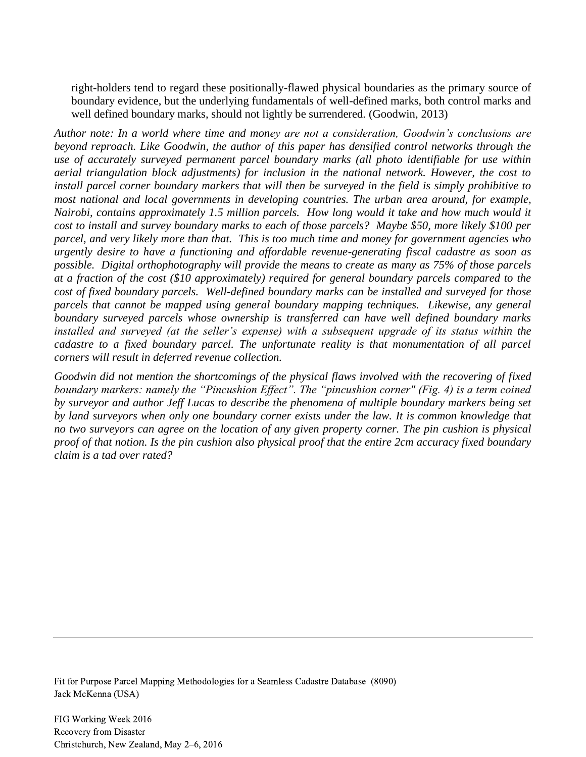right-holders tend to regard these positionally-flawed physical boundaries as the primary source of boundary evidence, but the underlying fundamentals of well-defined marks, both control marks and well defined boundary marks, should not lightly be surrendered. (Goodwin, 2013)

*Author note: In a world where time and money are not a consideration, Goodwin's conclusions are beyond reproach. Like Goodwin, the author of this paper has densified control networks through the use of accurately surveyed permanent parcel boundary marks (all photo identifiable for use within aerial triangulation block adjustments) for inclusion in the national network. However, the cost to install parcel corner boundary markers that will then be surveyed in the field is simply prohibitive to most national and local governments in developing countries. The urban area around, for example, Nairobi, contains approximately 1.5 million parcels. How long would it take and how much would it cost to install and survey boundary marks to each of those parcels? Maybe \$50, more likely \$100 per parcel, and very likely more than that. This is too much time and money for government agencies who urgently desire to have a functioning and affordable revenue-generating fiscal cadastre as soon as possible. Digital orthophotography will provide the means to create as many as 75% of those parcels at a fraction of the cost (\$10 approximately) required for general boundary parcels compared to the cost of fixed boundary parcels. Well-defined boundary marks can be installed and surveyed for those parcels that cannot be mapped using general boundary mapping techniques. Likewise, any general boundary surveyed parcels whose ownership is transferred can have well defined boundary marks installed and surveyed (at the seller's expense) with a subsequent upgrade of its status within the cadastre to a fixed boundary parcel. The unfortunate reality is that monumentation of all parcel corners will result in deferred revenue collection.* 

*Goodwin did not mention the shortcomings of the physical flaws involved with the recovering of fixed boundary markers: namely the "Pincushion Effect". The "pincushion corner" (Fig. 4) is a term coined by surveyor and author Jeff Lucas to describe the phenomena of multiple boundary markers being set by land surveyors when only one boundary corner exists under the law. It is common knowledge that no two surveyors can agree on the location of any given property corner. The pin cushion is physical proof of that notion. Is the pin cushion also physical proof that the entire 2cm accuracy fixed boundary claim is a tad over rated?* 

Fit for Purpose Parcel Mapping Methodologies for a Seamless Cadastre Database (8090) Jack McKenna (USA)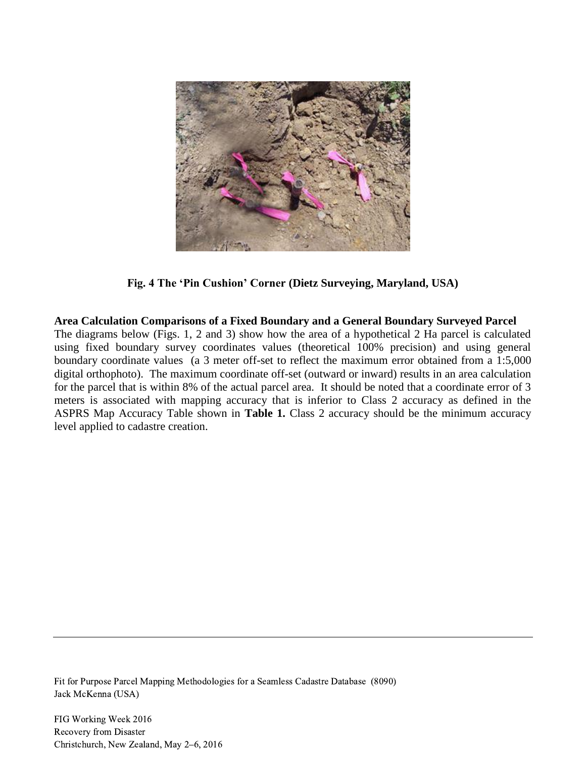

**Fig. 4 The 'Pin Cushion' Corner (Dietz Surveying, Maryland, USA)**

**Area Calculation Comparisons of a Fixed Boundary and a General Boundary Surveyed Parcel**

The diagrams below (Figs. 1, 2 and 3) show how the area of a hypothetical 2 Ha parcel is calculated using fixed boundary survey coordinates values (theoretical 100% precision) and using general boundary coordinate values (a 3 meter off-set to reflect the maximum error obtained from a 1:5,000 digital orthophoto). The maximum coordinate off-set (outward or inward) results in an area calculation for the parcel that is within 8% of the actual parcel area. It should be noted that a coordinate error of 3 meters is associated with mapping accuracy that is inferior to Class 2 accuracy as defined in the ASPRS Map Accuracy Table shown in **Table 1.** Class 2 accuracy should be the minimum accuracy level applied to cadastre creation.

Fit for Purpose Parcel Mapping Methodologies for a Seamless Cadastre Database (8090) Jack McKenna (USA)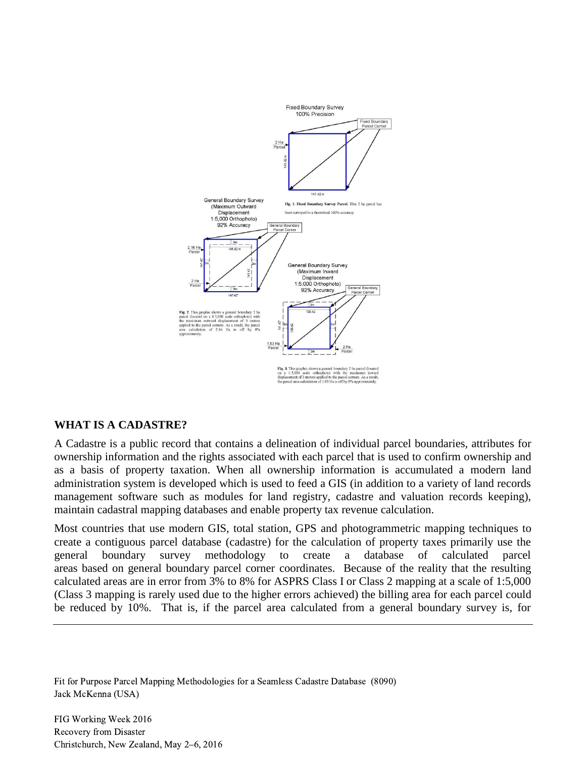

#### **WHAT IS A CADASTRE?**

A Cadastre is a public record that contains a delineation of individual parcel boundaries, attributes for ownership information and the rights associated with each parcel that is used to confirm ownership and as a basis of property taxation. When all ownership information is accumulated a modern land administration system is developed which is used to feed a GIS (in addition to a variety of land records management software such as modules for land registry, cadastre and valuation records keeping), maintain cadastral mapping databases and enable property tax revenue calculation.

Most countries that use modern GIS, total station, GPS and photogrammetric mapping techniques to create a contiguous parcel database (cadastre) for the calculation of property taxes primarily use the general boundary survey methodology to create a database of calculated parcel areas based on general boundary parcel corner coordinates. Because of the reality that the resulting calculated areas are in error from 3% to 8% for ASPRS Class I or Class 2 mapping at a scale of 1:5,000 (Class 3 mapping is rarely used due to the higher errors achieved) the billing area for each parcel could be reduced by 10%. That is, if the parcel area calculated from a general boundary survey is, for

Fit for Purpose Parcel Mapping Methodologies for a Seamless Cadastre Database (8090) Jack McKenna (USA)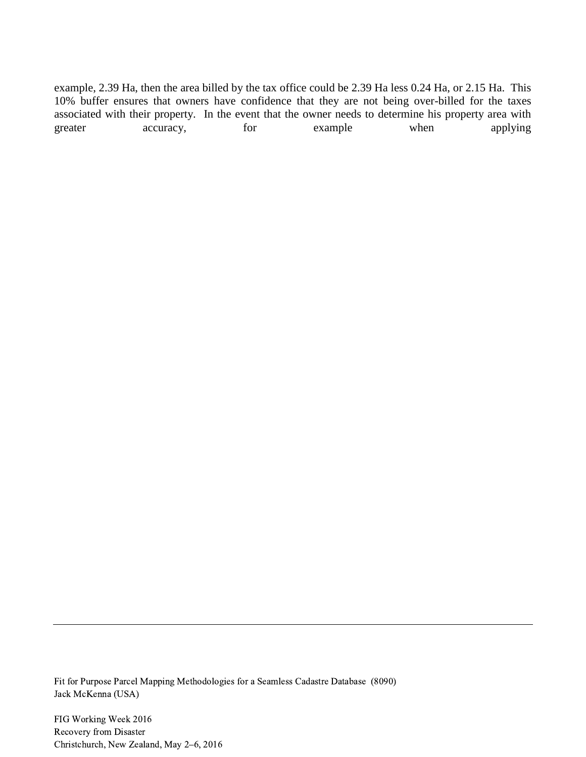example, 2.39 Ha, then the area billed by the tax office could be 2.39 Ha less 0.24 Ha, or 2.15 Ha. This 10% buffer ensures that owners have confidence that they are not being over-billed for the taxes associated with their property. In the event that the owner needs to determine his property area with greater accuracy, for example when applying

Fit for Purpose Parcel Mapping Methodologies for a Seamless Cadastre Database (8090) Jack McKenna (USA)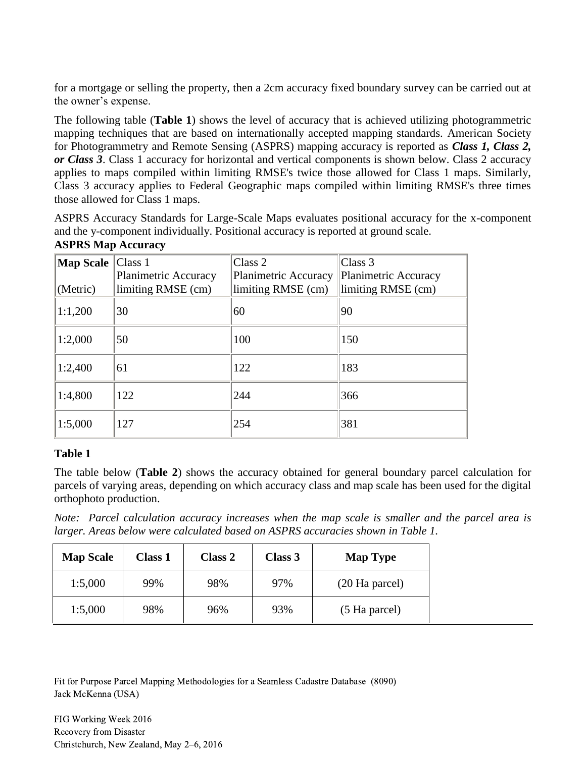for a mortgage or selling the property, then a 2cm accuracy fixed boundary survey can be carried out at the owner's expense.

The following table (**Table 1**) shows the level of accuracy that is achieved utilizing photogrammetric mapping techniques that are based on internationally accepted mapping standards. American Society for Photogrammetry and Remote Sensing (ASPRS) mapping accuracy is reported as *Class 1, Class 2, or Class 3*. Class 1 accuracy for horizontal and vertical components is shown below. Class 2 accuracy applies to maps compiled within limiting RMSE's twice those allowed for Class 1 maps. Similarly, Class 3 accuracy applies to Federal Geographic maps compiled within limiting RMSE's three times those allowed for Class 1 maps.

ASPRS Accuracy Standards for Large-Scale Maps evaluates positional accuracy for the x-component and the y-component individually. Positional accuracy is reported at ground scale.

|  |  | <b>ASPRS Map Accuracy</b> |
|--|--|---------------------------|
|--|--|---------------------------|

| <b>Map Scale</b><br>(Metric) | Class 1<br>Planimetric Accuracy<br>limiting RMSE (cm) | Class 2<br><b>Planimetric Accuracy</b><br>limiting RMSE (cm) | Class 3<br>Planimetric Accuracy<br>limiting RMSE (cm) |
|------------------------------|-------------------------------------------------------|--------------------------------------------------------------|-------------------------------------------------------|
| 1:1,200                      | 30                                                    | 60                                                           | 90                                                    |
| 1:2,000                      | 50                                                    | 100                                                          | 150                                                   |
| 1:2,400                      | 61                                                    | 122                                                          | 183                                                   |
| 1:4,800                      | 122                                                   | 244                                                          | 366                                                   |
| 1:5,000                      | 127                                                   | 254                                                          | 381                                                   |

#### **Table 1**

The table below (**Table 2**) shows the accuracy obtained for general boundary parcel calculation for parcels of varying areas, depending on which accuracy class and map scale has been used for the digital orthophoto production.

*Note: Parcel calculation accuracy increases when the map scale is smaller and the parcel area is larger. Areas below were calculated based on ASPRS accuracies shown in Table 1.* 

| <b>Map Scale</b> | <b>Class 1</b> | Class 2 | Class 3 | <b>Map Type</b> |
|------------------|----------------|---------|---------|-----------------|
| 1:5,000          | 99%            | 98%     | 97%     | (20 Ha parcel)  |
| 1:5,000          | 98%            | 96%     | 93%     | (5 Ha parcel)   |

Fit for Purpose Parcel Mapping Methodologies for a Seamless Cadastre Database (8090) Jack McKenna (USA)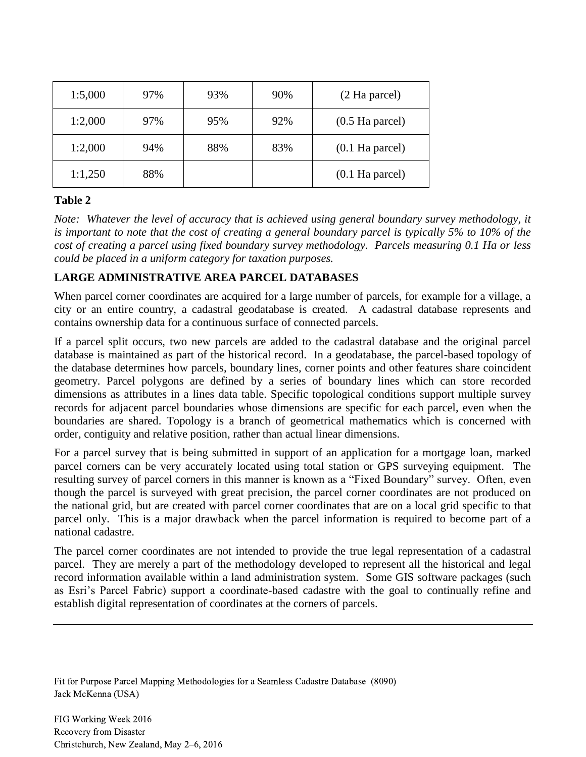| 1:5,000 | 97% | 93% | 90% | (2 Ha parcel)                     |
|---------|-----|-----|-----|-----------------------------------|
| 1:2,000 | 97% | 95% | 92% | $(0.5 \text{ Ha } \text{pareel})$ |
| 1:2,000 | 94% | 88% | 83% | $(0.1$ Ha parcel)                 |
| 1:1,250 | 88% |     |     | $(0.1$ Ha parcel)                 |

## **Table 2**

*Note: Whatever the level of accuracy that is achieved using general boundary survey methodology, it is important to note that the cost of creating a general boundary parcel is typically 5% to 10% of the cost of creating a parcel using fixed boundary survey methodology. Parcels measuring 0.1 Ha or less could be placed in a uniform category for taxation purposes.*

## **LARGE ADMINISTRATIVE AREA PARCEL DATABASES**

When parcel corner coordinates are acquired for a large number of parcels, for example for a village, a city or an entire country, a cadastral geodatabase is created. A cadastral database represents and contains ownership data for a continuous surface of connected parcels.

If a parcel split occurs, two new parcels are added to the cadastral database and the original parcel database is maintained as part of the historical record. In a geodatabase, the parcel-based topology of the database determines how parcels, boundary lines, corner points and other features share coincident geometry. Parcel polygons are defined by a series of boundary lines which can store recorded dimensions as attributes in a lines data table. Specific topological conditions support multiple survey records for adjacent parcel boundaries whose dimensions are specific for each parcel, even when the boundaries are shared. Topology is a branch of geometrical mathematics which is concerned with order, contiguity and relative position, rather than actual linear dimensions.

For a parcel survey that is being submitted in support of an application for a mortgage loan, marked parcel corners can be very accurately located using total station or GPS surveying equipment. The resulting survey of parcel corners in this manner is known as a "Fixed Boundary" survey. Often, even though the parcel is surveyed with great precision, the parcel corner coordinates are not produced on the national grid, but are created with parcel corner coordinates that are on a local grid specific to that parcel only. This is a major drawback when the parcel information is required to become part of a national cadastre.

The parcel corner coordinates are not intended to provide the true legal representation of a cadastral parcel. They are merely a part of the methodology developed to represent all the historical and legal record information available within a land administration system. Some GIS software packages (such as Esri's Parcel Fabric) support a coordinate-based cadastre with the goal to continually refine and establish digital representation of coordinates at the corners of parcels.

Fit for Purpose Parcel Mapping Methodologies for a Seamless Cadastre Database (8090) Jack McKenna (USA)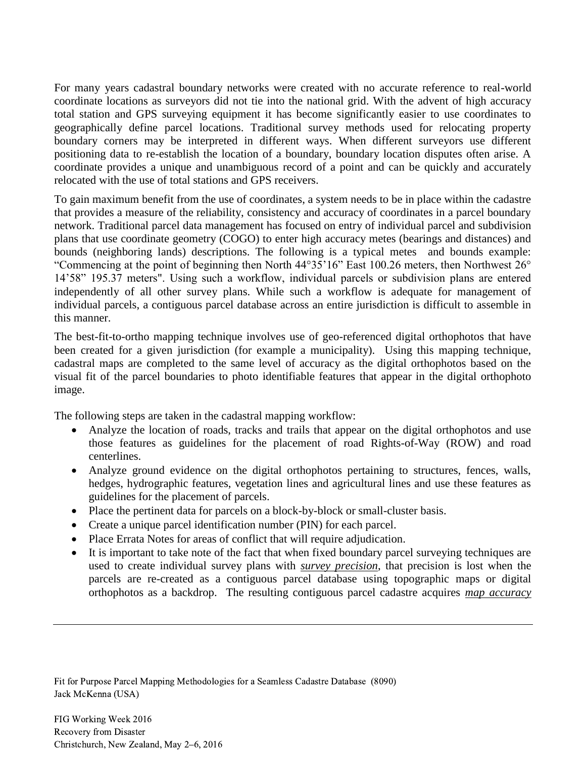For many years cadastral boundary networks were created with no accurate reference to real-world coordinate locations as surveyors did not tie into the national grid. With the advent of high accuracy total station and GPS surveying equipment it has become significantly easier to use coordinates to geographically define parcel locations. Traditional survey methods used for relocating property boundary corners may be interpreted in different ways. When different surveyors use different positioning data to re-establish the location of a boundary, boundary location disputes often arise. A coordinate provides a unique and unambiguous record of a point and can be quickly and accurately relocated with the use of total stations and GPS receivers.

To gain maximum benefit from the use of coordinates, a system needs to be in place within the cadastre that provides a measure of the reliability, consistency and accuracy of coordinates in a parcel boundary network. Traditional parcel data management has focused on entry of individual parcel and subdivision plans that use coordinate geometry (COGO) to enter high accuracy metes (bearings and distances) and bounds (neighboring lands) descriptions. The following is a typical metes and bounds example: "Commencing at the point of beginning then North 44°35'16" East 100.26 meters, then Northwest 26° 14'58" 195.37 meters". Using such a workflow, individual parcels or subdivision plans are entered independently of all other survey plans. While such a workflow is adequate for management of individual parcels, a contiguous parcel database across an entire jurisdiction is difficult to assemble in this manner.

The best-fit-to-ortho mapping technique involves use of geo-referenced digital orthophotos that have been created for a given jurisdiction (for example a municipality). Using this mapping technique, cadastral maps are completed to the same level of accuracy as the digital orthophotos based on the visual fit of the parcel boundaries to photo identifiable features that appear in the digital orthophoto image.

The following steps are taken in the cadastral mapping workflow:

- Analyze the location of roads, tracks and trails that appear on the digital orthophotos and use those features as guidelines for the placement of road Rights-of-Way (ROW) and road centerlines.
- Analyze ground evidence on the digital orthophotos pertaining to structures, fences, walls, hedges, hydrographic features, vegetation lines and agricultural lines and use these features as guidelines for the placement of parcels.
- Place the pertinent data for parcels on a block-by-block or small-cluster basis.
- Create a unique parcel identification number (PIN) for each parcel.
- Place Errata Notes for areas of conflict that will require adjudication.
- It is important to take note of the fact that when fixed boundary parcel surveying techniques are used to create individual survey plans with *survey precision*, that precision is lost when the parcels are re-created as a contiguous parcel database using topographic maps or digital orthophotos as a backdrop. The resulting contiguous parcel cadastre acquires *map accuracy*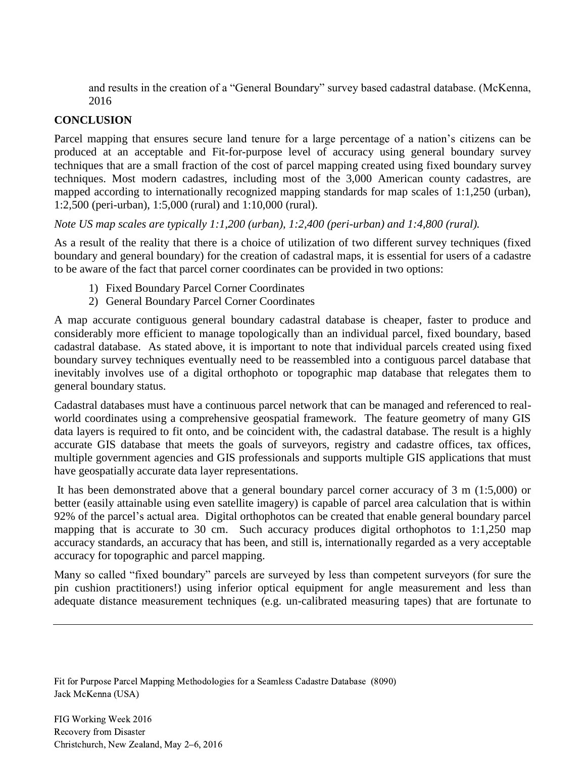and results in the creation of a "General Boundary" survey based cadastral database. (McKenna, 2016

## **CONCLUSION**

Parcel mapping that ensures secure land tenure for a large percentage of a nation's citizens can be produced at an acceptable and Fit-for-purpose level of accuracy using general boundary survey techniques that are a small fraction of the cost of parcel mapping created using fixed boundary survey techniques. Most modern cadastres, including most of the 3,000 American county cadastres, are mapped according to internationally recognized mapping standards for map scales of 1:1,250 (urban), 1:2,500 (peri-urban), 1:5,000 (rural) and 1:10,000 (rural).

*Note US map scales are typically 1:1,200 (urban), 1:2,400 (peri-urban) and 1:4,800 (rural).*

As a result of the reality that there is a choice of utilization of two different survey techniques (fixed boundary and general boundary) for the creation of cadastral maps, it is essential for users of a cadastre to be aware of the fact that parcel corner coordinates can be provided in two options:

- 1) Fixed Boundary Parcel Corner Coordinates
- 2) General Boundary Parcel Corner Coordinates

A map accurate contiguous general boundary cadastral database is cheaper, faster to produce and considerably more efficient to manage topologically than an individual parcel, fixed boundary, based cadastral database. As stated above, it is important to note that individual parcels created using fixed boundary survey techniques eventually need to be reassembled into a contiguous parcel database that inevitably involves use of a digital orthophoto or topographic map database that relegates them to general boundary status.

Cadastral databases must have a continuous parcel network that can be managed and referenced to realworld coordinates using a comprehensive geospatial framework. The feature geometry of many GIS data layers is required to fit onto, and be coincident with, the cadastral database. The result is a highly accurate GIS database that meets the goals of surveyors, registry and cadastre offices, tax offices, multiple government agencies and GIS professionals and supports multiple GIS applications that must have geospatially accurate data layer representations.

It has been demonstrated above that a general boundary parcel corner accuracy of 3 m (1:5,000) or better (easily attainable using even satellite imagery) is capable of parcel area calculation that is within 92% of the parcel's actual area. Digital orthophotos can be created that enable general boundary parcel mapping that is accurate to 30 cm. Such accuracy produces digital orthophotos to 1:1,250 map accuracy standards, an accuracy that has been, and still is, internationally regarded as a very acceptable accuracy for topographic and parcel mapping.

Many so called "fixed boundary" parcels are surveyed by less than competent surveyors (for sure the pin cushion practitioners!) using inferior optical equipment for angle measurement and less than adequate distance measurement techniques (e.g. un-calibrated measuring tapes) that are fortunate to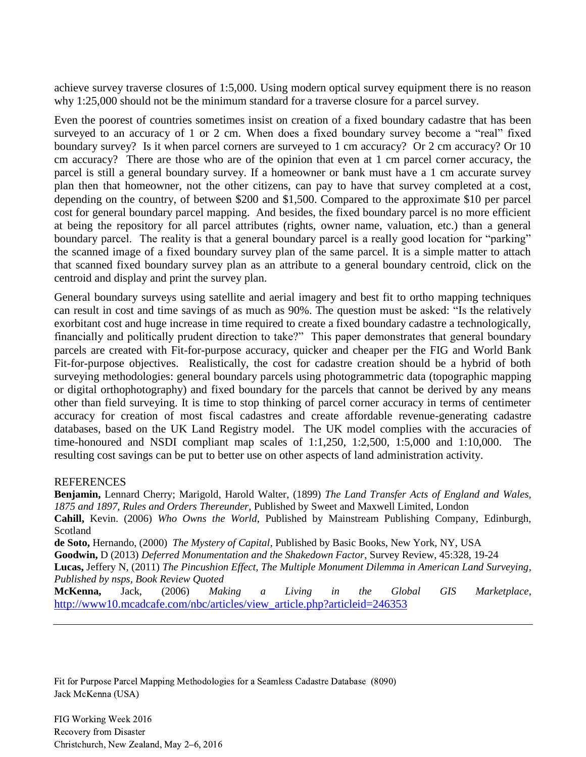achieve survey traverse closures of 1:5,000. Using modern optical survey equipment there is no reason why 1:25,000 should not be the minimum standard for a traverse closure for a parcel survey.

Even the poorest of countries sometimes insist on creation of a fixed boundary cadastre that has been surveyed to an accuracy of 1 or 2 cm. When does a fixed boundary survey become a "real" fixed boundary survey? Is it when parcel corners are surveyed to 1 cm accuracy? Or 2 cm accuracy? Or 10 cm accuracy? There are those who are of the opinion that even at 1 cm parcel corner accuracy, the parcel is still a general boundary survey. If a homeowner or bank must have a 1 cm accurate survey plan then that homeowner, not the other citizens, can pay to have that survey completed at a cost, depending on the country, of between \$200 and \$1,500. Compared to the approximate \$10 per parcel cost for general boundary parcel mapping. And besides, the fixed boundary parcel is no more efficient at being the repository for all parcel attributes (rights, owner name, valuation, etc.) than a general boundary parcel. The reality is that a general boundary parcel is a really good location for "parking" the scanned image of a fixed boundary survey plan of the same parcel. It is a simple matter to attach that scanned fixed boundary survey plan as an attribute to a general boundary centroid, click on the centroid and display and print the survey plan.

General boundary surveys using satellite and aerial imagery and best fit to ortho mapping techniques can result in cost and time savings of as much as 90%. The question must be asked: "Is the relatively exorbitant cost and huge increase in time required to create a fixed boundary cadastre a technologically, financially and politically prudent direction to take?" This paper demonstrates that general boundary parcels are created with Fit-for-purpose accuracy, quicker and cheaper per the FIG and World Bank Fit-for-purpose objectives. Realistically, the cost for cadastre creation should be a hybrid of both surveying methodologies: general boundary parcels using photogrammetric data (topographic mapping or digital orthophotography) and fixed boundary for the parcels that cannot be derived by any means other than field surveying. It is time to stop thinking of parcel corner accuracy in terms of centimeter accuracy for creation of most fiscal cadastres and create affordable revenue-generating cadastre databases, based on the UK Land Registry model. The UK model complies with the accuracies of time-honoured and NSDI compliant map scales of 1:1,250, 1:2,500, 1:5,000 and 1:10,000. The resulting cost savings can be put to better use on other aspects of land administration activity.

#### **REFERENCES**

**Benjamin,** Lennard Cherry; Marigold, Harold Walter, (1899) *The Land Transfer Acts of England and Wales, 1875 and 1897, Rules and Orders Thereunder*, Published by Sweet and Maxwell Limited, London **Cahill,** Kevin. (2006) *Who Owns the World*, Published by Mainstream Publishing Company, Edinburgh, Scotland **de Soto,** Hernando, (2000) *The Mystery of Capital,* Published by Basic Books, New York, NY, USA **Goodwin,** D (2013) *Deferred Monumentation and the Shakedown Factor*, Survey Review, 45:328, 19-24 **Lucas,** [Jeffery N,](https://www.google.com/search?tbo=p&tbm=bks&q=inauthor:%22Jeffery+N.+Lucas%22) (2011) *[The Pincushion Effect, The Multiple Monument Dilemma in American Land Surveying,](http://store.bnpmedia.com/store/the-pincushion-effect/index.html) Published by nsps, Book Review Quoted* **McKenna,** Jack, (2006) *Making a Living in the Global GIS Marketplace*, [http://www10.mcadcafe.com/nbc/articles/view\\_article.php?articleid=246353](http://www10.mcadcafe.com/nbc/articles/view_article.php?articleid=246353)

Fit for Purpose Parcel Mapping Methodologies for a Seamless Cadastre Database (8090) Jack McKenna (USA)